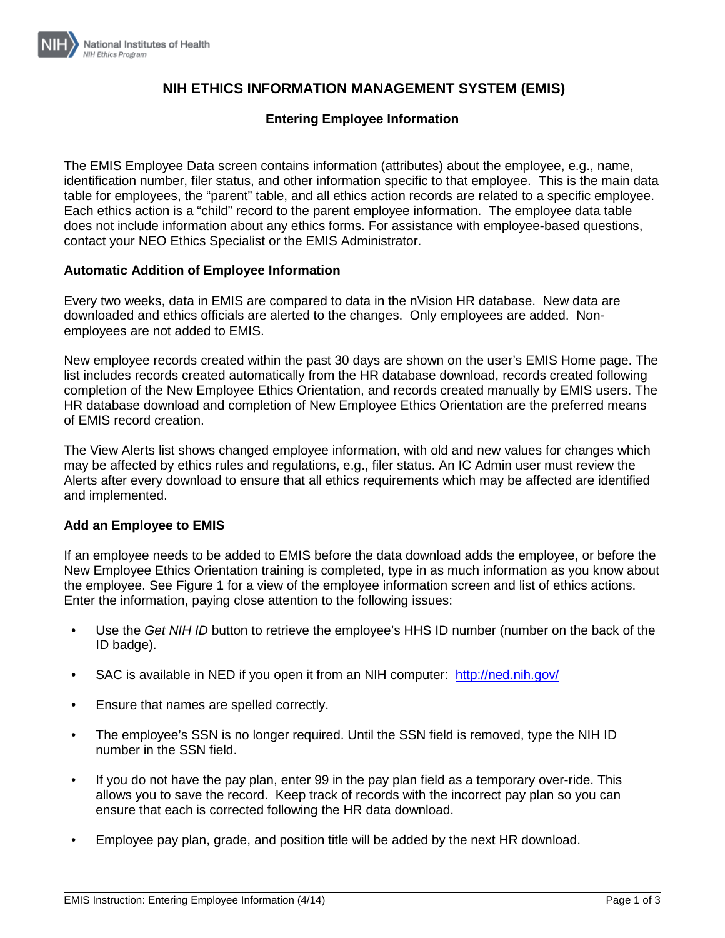

# **NIH ETHICS INFORMATION MANAGEMENT SYSTEM (EMIS)**

### **Entering Employee Information**

The EMIS Employee Data screen contains information (attributes) about the employee, e.g., name, identification number, filer status, and other information specific to that employee. This is the main data table for employees, the "parent" table, and all ethics action records are related to a specific employee. Each ethics action is a "child" record to the parent employee information. The employee data table does not include information about any ethics forms. For assistance with employee-based questions, contact your NEO Ethics Specialist or the EMIS Administrator.

### **Automatic Addition of Employee Information**

Every two weeks, data in EMIS are compared to data in the nVision HR database. New data are downloaded and ethics officials are alerted to the changes. Only employees are added. Nonemployees are not added to EMIS.

New employee records created within the past 30 days are shown on the user's EMIS Home page. The list includes records created automatically from the HR database download, records created following completion of the New Employee Ethics Orientation, and records created manually by EMIS users. The HR database download and completion of New Employee Ethics Orientation are the preferred means of EMIS record creation.

The View Alerts list shows changed employee information, with old and new values for changes which may be affected by ethics rules and regulations, e.g., filer status. An IC Admin user must review the Alerts after every download to ensure that all ethics requirements which may be affected are identified and implemented.

#### **Add an Employee to EMIS**

If an employee needs to be added to EMIS before the data download adds the employee, or before the New Employee Ethics Orientation training is completed, type in as much information as you know about the employee. See Figure 1 for a view of the employee information screen and list of ethics actions. Enter the information, paying close attention to the following issues:

- Use the *Get NIH ID* button to retrieve the employee's HHS ID number (number on the back of the ID badge).
- SAC is available in NED if you open it from an NIH computer: <http://ned.nih.gov/>
- Ensure that names are spelled correctly.
- The employee's SSN is no longer required. Until the SSN field is removed, type the NIH ID number in the SSN field.
- If you do not have the pay plan, enter 99 in the pay plan field as a temporary over-ride. This allows you to save the record. Keep track of records with the incorrect pay plan so you can ensure that each is corrected following the HR data download.
- Employee pay plan, grade, and position title will be added by the next HR download.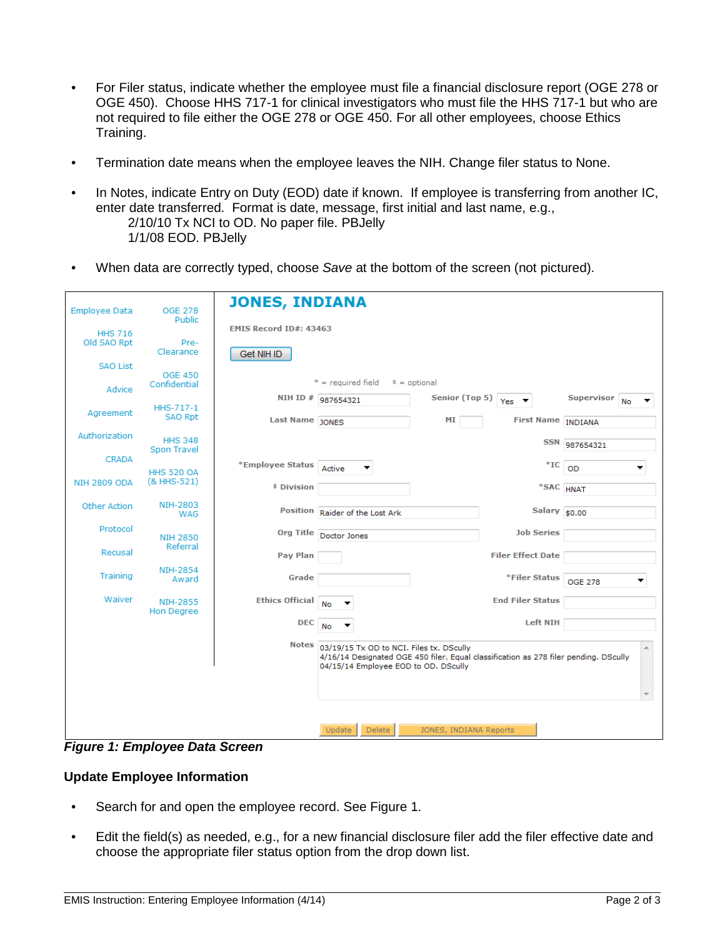- For Filer status, indicate whether the employee must file a financial disclosure report (OGE 278 or OGE 450). Choose HHS 717-1 for clinical investigators who must file the HHS 717-1 but who are not required to file either the OGE 278 or OGE 450. For all other employees, choose Ethics Training.
- Termination date means when the employee leaves the NIH. Change filer status to None.
- In Notes, indicate Entry on Duty (EOD) date if known. If employee is transferring from another IC, enter date transferred. Format is date, message, first initial and last name, e.g., 2/10/10 Tx NCI to OD. No paper file. PBJelly 1/1/08 EOD. PBJelly
- When data are correctly typed, choose *Save* at the bottom of the screen (not pictured).

| <b>Employee Data</b>          | <b>OGE 278</b><br>Public             | <b>JONES, INDIANA</b>  |                                                                                                                                                                                |                        |                          |                         |
|-------------------------------|--------------------------------------|------------------------|--------------------------------------------------------------------------------------------------------------------------------------------------------------------------------|------------------------|--------------------------|-------------------------|
| <b>HHS 716</b><br>Old SAO Rpt | Pre-                                 | EMIS Record ID#: 43463 |                                                                                                                                                                                |                        |                          |                         |
| <b>SAO List</b>               | Clearance                            | <b>Get NIH ID</b>      |                                                                                                                                                                                |                        |                          |                         |
| Advice                        | <b>OGE 450</b><br>Confidential       |                        | $* = required field$ $* = optional$                                                                                                                                            |                        |                          |                         |
|                               | HHS-717-1                            |                        | NIH ID # 987654321                                                                                                                                                             | Senior (Top 5)         | Yes $\blacktriangledown$ | <b>Supervisor</b><br>No |
| Agreement                     | <b>SAO Rpt</b>                       | Last Name JONES        |                                                                                                                                                                                | MI                     | <b>First Name</b>        | <b>INDIANA</b>          |
| Authorization                 | <b>HHS 348</b><br>Spon Travel        |                        |                                                                                                                                                                                |                        | <b>SSN</b>               | 987654321               |
| <b>CRADA</b>                  | <b>HHS 520 OA</b>                    | *Employee Status       | Active                                                                                                                                                                         |                        | $\rm ^{*}IC$             | <b>OD</b>               |
| <b>NIH 2809 ODA</b>           | (& HHS-521)                          | <b>‡ Division</b>      |                                                                                                                                                                                |                        | *SAC HNAT                |                         |
| Other Action                  | NIH-2803<br><b>WAG</b>               |                        | Position Raider of the Lost Ark                                                                                                                                                |                        | Salary $$0.00$           |                         |
| Protocol                      | <b>NIH 2850</b><br>Referral          | <b>Org Title</b>       | Doctor Jones                                                                                                                                                                   |                        | <b>Job Series</b>        |                         |
| Recusal                       |                                      | Pay Plan               |                                                                                                                                                                                |                        | <b>Filer Effect Date</b> |                         |
| Training                      | NIH-2854<br>Award                    | Grade                  |                                                                                                                                                                                |                        | *Filer Status            | <b>OGE 278</b>          |
| Waiver                        | <b>NIH-2855</b><br><b>Hon Degree</b> | <b>Ethics Official</b> | No<br>▼                                                                                                                                                                        |                        | <b>End Filer Status</b>  |                         |
|                               |                                      | <b>DEC</b>             | No                                                                                                                                                                             |                        | <b>Left NIH</b>          |                         |
|                               |                                      |                        | Notes 03/19/15 Tx OD to NCI. Files tx. DScully<br>4/16/14 Designated OGE 450 filer. Equal classification as 278 filer pending. DScully<br>04/15/14 Employee EOD to OD. DScully |                        |                          |                         |
|                               |                                      |                        | Delete<br>Update                                                                                                                                                               | JONES, INDIANA Reports |                          |                         |

*Figure 1: Employee Data Screen*

# **Update Employee Information**

- Search for and open the employee record. See Figure 1.
- Edit the field(s) as needed, e.g., for a new financial disclosure filer add the filer effective date and choose the appropriate filer status option from the drop down list.